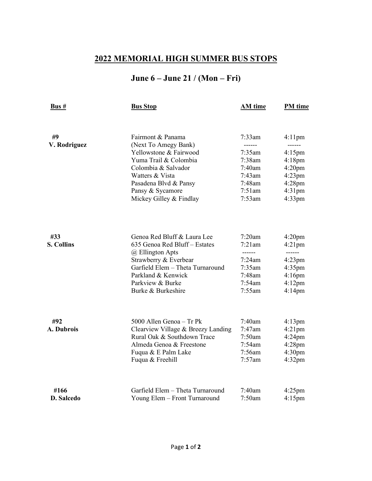## **2022 MEMORIAL HIGH SUMMER BUS STOPS**

## **June 6 – June 21 / (Mon – Fri)**

| Bus #             | <b>Bus Stop</b>                                              | <b>AM</b> time      | PM time                |
|-------------------|--------------------------------------------------------------|---------------------|------------------------|
|                   |                                                              |                     |                        |
| #9                | Fairmont & Panama                                            | 7:33am              | $4:11$ pm              |
| V. Rodriguez      | (Next To Amegy Bank)                                         | $- - - - -$         | ------                 |
|                   | Yellowstone & Fairwood                                       | $7:35$ am           | $4:15$ pm              |
|                   | Yuma Trail & Colombia                                        | 7:38am              | $4:18$ pm              |
|                   | Colombia & Salvador                                          | 7:40am              | 4:20 <sub>pm</sub>     |
|                   | Watters & Vista                                              | 7:43am              | $4:23$ pm              |
|                   | Pasadena Blvd & Pansy                                        | 7:48am              | $4:28$ pm              |
|                   | Pansy & Sycamore                                             | 7:51am              | $4:31$ pm              |
|                   | Mickey Gilley & Findlay                                      | 7:53am              | $4:33$ pm              |
|                   |                                                              |                     |                        |
| #33               | Genoa Red Bluff & Laura Lee<br>635 Genoa Red Bluff - Estates | 7:20am<br>$7:21$ am | 4:20 <sub>pm</sub>     |
| <b>S. Collins</b> |                                                              | ------              | $4:21$ pm<br>------    |
|                   | @ Ellington Apts                                             | 7:24am              |                        |
|                   | Strawberry & Everbear<br>Garfield Elem – Theta Turnaround    | $7:35$ am           | $4:23$ pm              |
|                   | Parkland & Kenwick                                           | $7:48$ am           | $4:35$ pm              |
|                   | Parkview & Burke                                             | 7:54am              | $4:16$ pm<br>$4:12$ pm |
|                   | Burke & Burkeshire                                           | 7:55am              | $4:14$ pm              |
|                   |                                                              |                     |                        |
| #92               | 5000 Allen Genoa - Tr Pk                                     | 7:40am              | $4:13 \text{pm}$       |
| A. Dubrois        | Clearview Village & Breezy Landing                           | 7:47am              | $4:21$ pm              |
|                   | Rural Oak & Southdown Trace                                  | 7:50am              | $4:24$ pm              |
|                   | Almeda Genoa & Freestone                                     | 7:54am              | $4:28$ pm              |
|                   | Fuqua & E Palm Lake                                          | 7:56am              | 4:30 <sub>pm</sub>     |
|                   | Fuqua & Freehill                                             | $7:57$ am           | $4:32$ pm              |
| #166              | Garfield Elem - Theta Turnaround                             | 7:40am              | $4:25$ pm              |
| <b>D.</b> Salcedo | Young Elem - Front Turnaround                                | 7:50am              | $4:15$ pm              |